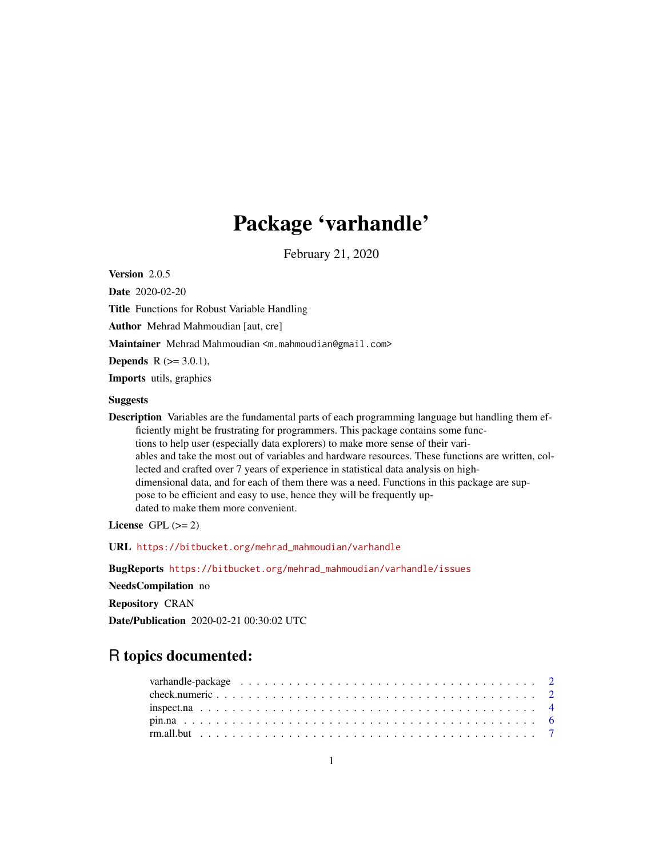# Package 'varhandle'

February 21, 2020

<span id="page-0-0"></span>Version 2.0.5

Date 2020-02-20 Title Functions for Robust Variable Handling Author Mehrad Mahmoudian [aut, cre] Maintainer Mehrad Mahmoudian <m.mahmoudian@gmail.com> **Depends** R  $(>= 3.0.1)$ , Imports utils, graphics **Suggests** Description Variables are the fundamental parts of each programming language but handling them efficiently might be frustrating for programmers. This package contains some functions to help user (especially data explorers) to make more sense of their vari-

ables and take the most out of variables and hardware resources. These functions are written, collected and crafted over 7 years of experience in statistical data analysis on highdimensional data, and for each of them there was a need. Functions in this package are suppose to be efficient and easy to use, hence they will be frequently updated to make them more convenient.

License GPL  $(>= 2)$ 

URL [https://bitbucket.org/mehrad\\_mahmoudian/varhandle](https://bitbucket.org/mehrad_mahmoudian/varhandle)

BugReports [https://bitbucket.org/mehrad\\_mahmoudian/varhandle/issues](https://bitbucket.org/mehrad_mahmoudian/varhandle/issues)

NeedsCompilation no

Repository CRAN

Date/Publication 2020-02-21 00:30:02 UTC

# R topics documented: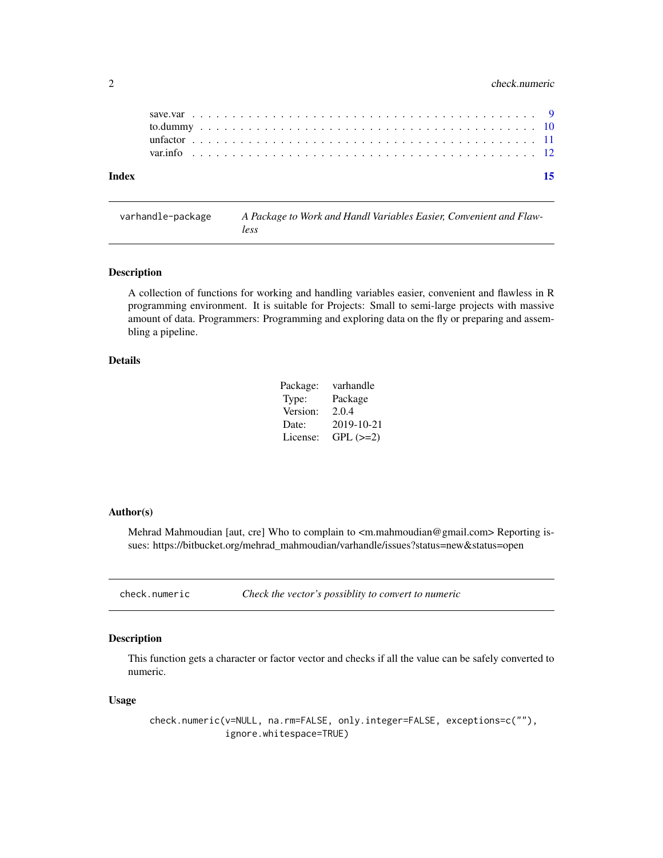# <span id="page-1-0"></span>2 check.numeric check.numeric check.numeric check.numeric check.numeric check.numeric

| Index |  |  |  |  |  |  |  |  |  |  |  |  |  |  |  |  |  |  |  |  |  |  |  |
|-------|--|--|--|--|--|--|--|--|--|--|--|--|--|--|--|--|--|--|--|--|--|--|--|
|       |  |  |  |  |  |  |  |  |  |  |  |  |  |  |  |  |  |  |  |  |  |  |  |
|       |  |  |  |  |  |  |  |  |  |  |  |  |  |  |  |  |  |  |  |  |  |  |  |
|       |  |  |  |  |  |  |  |  |  |  |  |  |  |  |  |  |  |  |  |  |  |  |  |
|       |  |  |  |  |  |  |  |  |  |  |  |  |  |  |  |  |  |  |  |  |  |  |  |
|       |  |  |  |  |  |  |  |  |  |  |  |  |  |  |  |  |  |  |  |  |  |  |  |

# varhandle-package *A Package to Work and Handl Variables Easier, Convenient and Flawless*

#### Description

A collection of functions for working and handling variables easier, convenient and flawless in R programming environment. It is suitable for Projects: Small to semi-large projects with massive amount of data. Programmers: Programming and exploring data on the fly or preparing and assembling a pipeline.

#### Details

| Package: | varhandle  |
|----------|------------|
| Type:    | Package    |
| Version: | 2.0.4      |
| Date:    | 2019-10-21 |
| License: | $GPL (=2)$ |

# Author(s)

Mehrad Mahmoudian [aut, cre] Who to complain to <m.mahmoudian@gmail.com> Reporting issues: https://bitbucket.org/mehrad\_mahmoudian/varhandle/issues?status=new&status=open

check.numeric *Check the vector's possiblity to convert to numeric*

# Description

This function gets a character or factor vector and checks if all the value can be safely converted to numeric.

#### Usage

check.numeric(v=NULL, na.rm=FALSE, only.integer=FALSE, exceptions=c(""), ignore.whitespace=TRUE)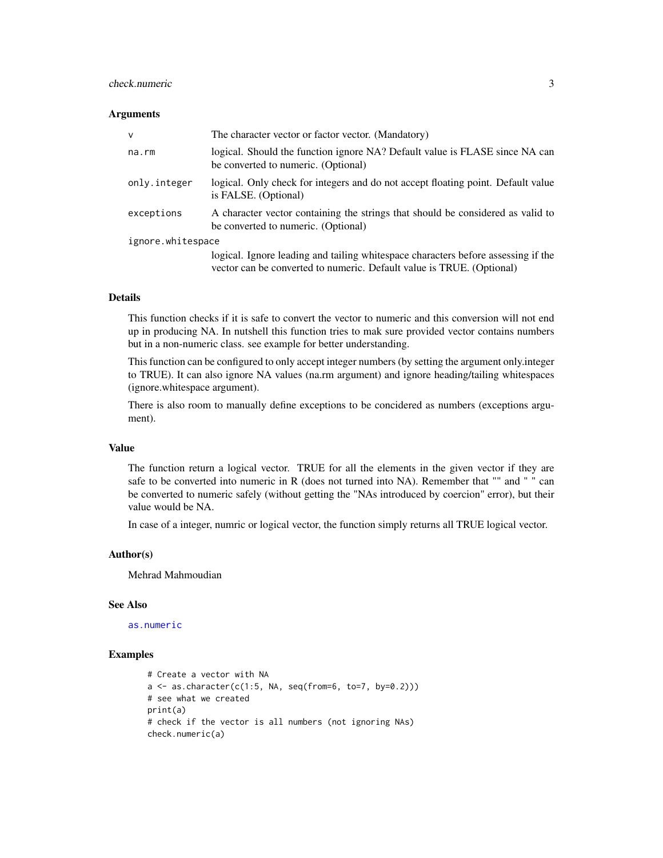# <span id="page-2-0"></span>check.numeric 3

#### **Arguments**

| $\mathsf{V}$      | The character vector or factor vector. (Mandatory)                                                                                                          |
|-------------------|-------------------------------------------------------------------------------------------------------------------------------------------------------------|
| na.rm             | logical. Should the function ignore NA? Default value is FLASE since NA can<br>be converted to numeric. (Optional)                                          |
| only.integer      | logical. Only check for integers and do not accept floating point. Default value<br>is FALSE. (Optional)                                                    |
| exceptions        | A character vector containing the strings that should be considered as valid to<br>be converted to numeric. (Optional)                                      |
| ignore.whitespace |                                                                                                                                                             |
|                   | logical. Ignore leading and tailing white space characters before assessing if the<br>vector can be converted to numeric. Default value is TRUE. (Optional) |

# Details

This function checks if it is safe to convert the vector to numeric and this conversion will not end up in producing NA. In nutshell this function tries to mak sure provided vector contains numbers but in a non-numeric class. see example for better understanding.

This function can be configured to only accept integer numbers (by setting the argument only.integer to TRUE). It can also ignore NA values (na.rm argument) and ignore heading/tailing whitespaces (ignore.whitespace argument).

There is also room to manually define exceptions to be concidered as numbers (exceptions argument).

# Value

The function return a logical vector. TRUE for all the elements in the given vector if they are safe to be converted into numeric in R (does not turned into NA). Remember that "" and " " can be converted to numeric safely (without getting the "NAs introduced by coercion" error), but their value would be NA.

In case of a integer, numric or logical vector, the function simply returns all TRUE logical vector.

#### Author(s)

Mehrad Mahmoudian

# See Also

[as.numeric](#page-0-0)

#### Examples

```
# Create a vector with NA
a \leftarrow as{\text{.character}(c(1:5, NA, seq(from=6, to=7, by=0.2))})# see what we created
print(a)
# check if the vector is all numbers (not ignoring NAs)
check.numeric(a)
```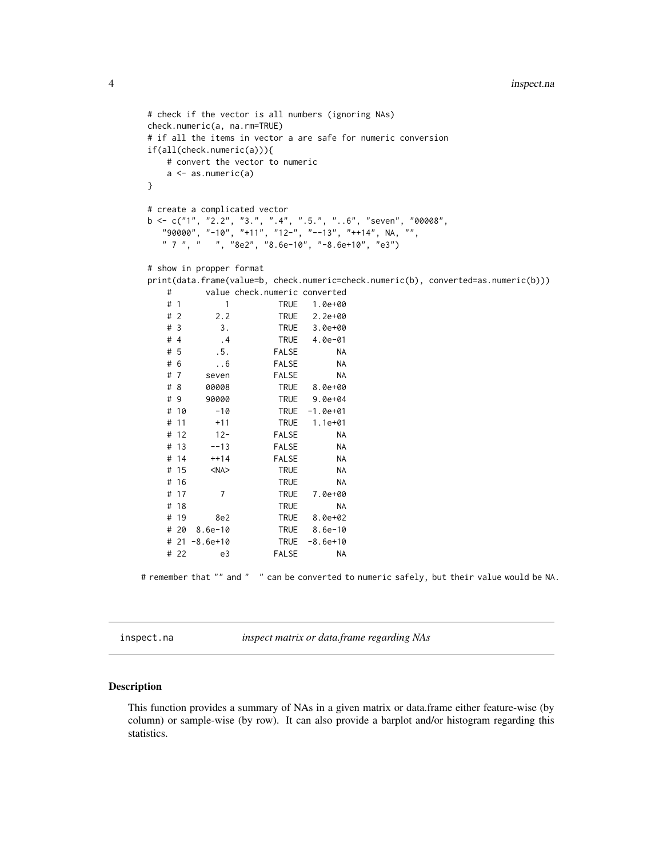```
# check if the vector is all numbers (ignoring NAs)
check.numeric(a, na.rm=TRUE)
# if all the items in vector a are safe for numeric conversion
if(all(check.numeric(a))){
  # convert the vector to numeric
  a \leftarrow as.numeric(a)}
# create a complicated vector
b \leq c("1", "2.2", "3."", ".4", ".5."", "..6", "seven", "00008","90000", "-10", "+11", "12-", "--13", "++14", NA, "",
  " 7 ", " ", "8e2", "8.6e-10", "-8.6e+10", "e3")
# show in propper format
print(data.frame(value=b, check.numeric=check.numeric(b), converted=as.numeric(b)))
  # value check.numeric converted
          1 TRUE 1.0e+00
  # 2 2.2 TRUE 2.2e+00
  # 3 3. TRUE 3.0e+00
  # 4 .4 TRUE 4.0e-01
  # 5 .5. FALSE NA
  # 6 ..6 FALSE NA
  # 7 seven FALSE NA
  # 8 00008 TRUE 8.0e+00
  # 9 90000 TRUE 9.0e+04
  # 10 -10 TRUE -1.0e+01
  # 11 +11 TRUE 1.1e+01
  # 12 12- FALSE NA
  # 13 --13 FALSE NA
  # 14 ++14 FALSE NA
  # 15 <NA> TRUE NA
  # 16 TRUE NA
  # 17 7 TRUE 7.0e+00
  # 18 TRUE NA
  # 19 8e2 TRUE 8.0e+02
  # 20 8.6e-10 TRUE 8.6e-10
  # 21 -8.6e+10 TRUE -8.6e+10
  # 22 e3 FALSE NA
```
# remember that "" and " " can be converted to numeric safely, but their value would be NA.

<span id="page-3-1"></span>inspect.na *inspect matrix or data.frame regarding NAs*

#### **Description**

This function provides a summary of NAs in a given matrix or data.frame either feature-wise (by column) or sample-wise (by row). It can also provide a barplot and/or histogram regarding this statistics.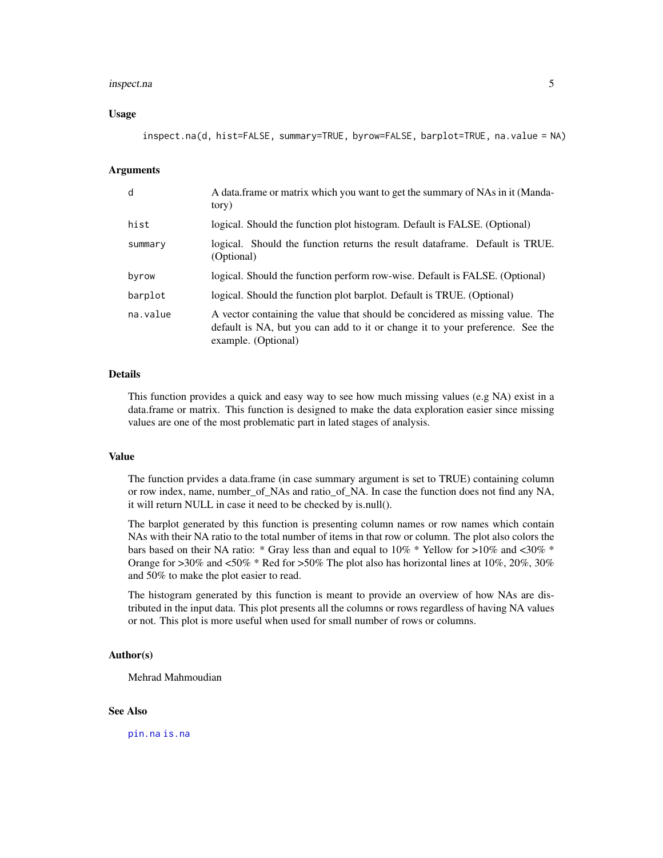#### <span id="page-4-0"></span>inspect.na 5

#### Usage

inspect.na(d, hist=FALSE, summary=TRUE, byrow=FALSE, barplot=TRUE, na.value = NA)

# Arguments

| d        | A data frame or matrix which you want to get the summary of NAs in it (Manda-<br>tory)                                                                                                |
|----------|---------------------------------------------------------------------------------------------------------------------------------------------------------------------------------------|
| hist     | logical. Should the function plot histogram. Default is FALSE. (Optional)                                                                                                             |
| summary  | logical. Should the function returns the result data frame. Default is TRUE.<br>(Optional)                                                                                            |
| byrow    | logical. Should the function perform row-wise. Default is FALSE. (Optional)                                                                                                           |
| barplot  | logical. Should the function plot barplot. Default is TRUE. (Optional)                                                                                                                |
| na.value | A vector containing the value that should be concidered as missing value. The<br>default is NA, but you can add to it or change it to your preference. See the<br>example. (Optional) |

# Details

This function provides a quick and easy way to see how much missing values (e.g NA) exist in a data.frame or matrix. This function is designed to make the data exploration easier since missing values are one of the most problematic part in lated stages of analysis.

# Value

The function prvides a data.frame (in case summary argument is set to TRUE) containing column or row index, name, number\_of\_NAs and ratio\_of\_NA. In case the function does not find any NA, it will return NULL in case it need to be checked by is.null().

The barplot generated by this function is presenting column names or row names which contain NAs with their NA ratio to the total number of items in that row or column. The plot also colors the bars based on their NA ratio: \* Gray less than and equal to 10% \* Yellow for >10% and <30% \* Orange for  $>30\%$  and  $<50\%$  \* Red for  $>50\%$  The plot also has horizontal lines at 10%, 20%, 30% and 50% to make the plot easier to read.

The histogram generated by this function is meant to provide an overview of how NAs are distributed in the input data. This plot presents all the columns or rows regardless of having NA values or not. This plot is more useful when used for small number of rows or columns.

# Author(s)

Mehrad Mahmoudian

#### See Also

[pin.na](#page-5-1) [is.na](#page-0-0)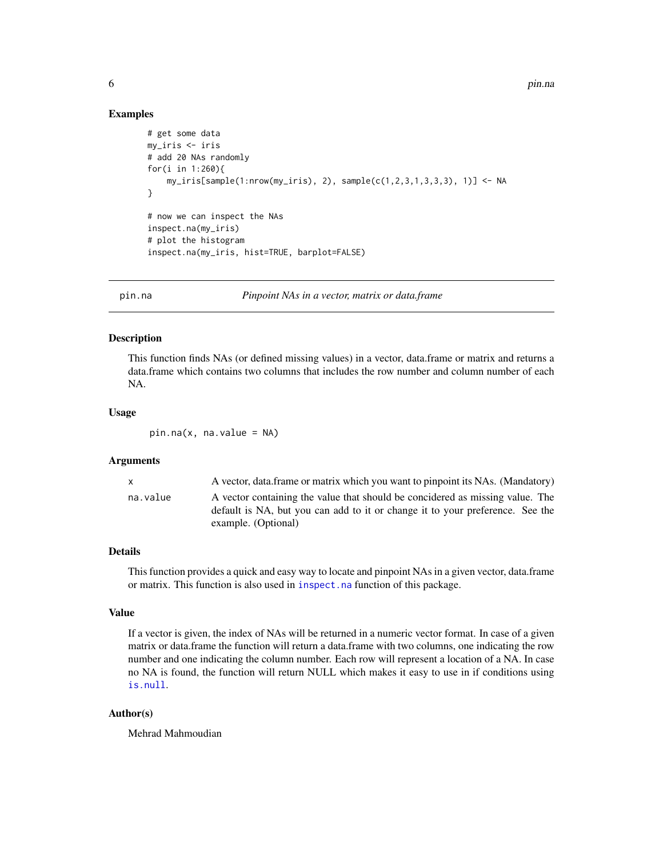# <span id="page-5-0"></span>Examples

```
# get some data
my_iris <- iris
# add 20 NAs randomly
for(i in 1:260){
    my_iris[sample(1:nrow(my_iris), 2), sample(c(1,2,3,1,3,3,3), 1)] <- NA
}
# now we can inspect the NAs
inspect.na(my_iris)
# plot the histogram
inspect.na(my_iris, hist=TRUE, barplot=FALSE)
```
<span id="page-5-1"></span>

pin.na *Pinpoint NAs in a vector, matrix or data.frame*

# **Description**

This function finds NAs (or defined missing values) in a vector, data.frame or matrix and returns a data.frame which contains two columns that includes the row number and column number of each NA.

#### Usage

 $pin.na(x, na.value = NA)$ 

#### Arguments

x A vector, data.frame or matrix which you want to pinpoint its NAs. (Mandatory) na.value A vector containing the value that should be concidered as missing value. The default is NA, but you can add to it or change it to your preference. See the example. (Optional)

# Details

This function provides a quick and easy way to locate and pinpoint NAs in a given vector, data.frame or matrix. This function is also used in [inspect.na](#page-3-1) function of this package.

# Value

If a vector is given, the index of NAs will be returned in a numeric vector format. In case of a given matrix or data.frame the function will return a data.frame with two columns, one indicating the row number and one indicating the column number. Each row will represent a location of a NA. In case no NA is found, the function will return NULL which makes it easy to use in if conditions using [is.null](#page-0-0).

# Author(s)

Mehrad Mahmoudian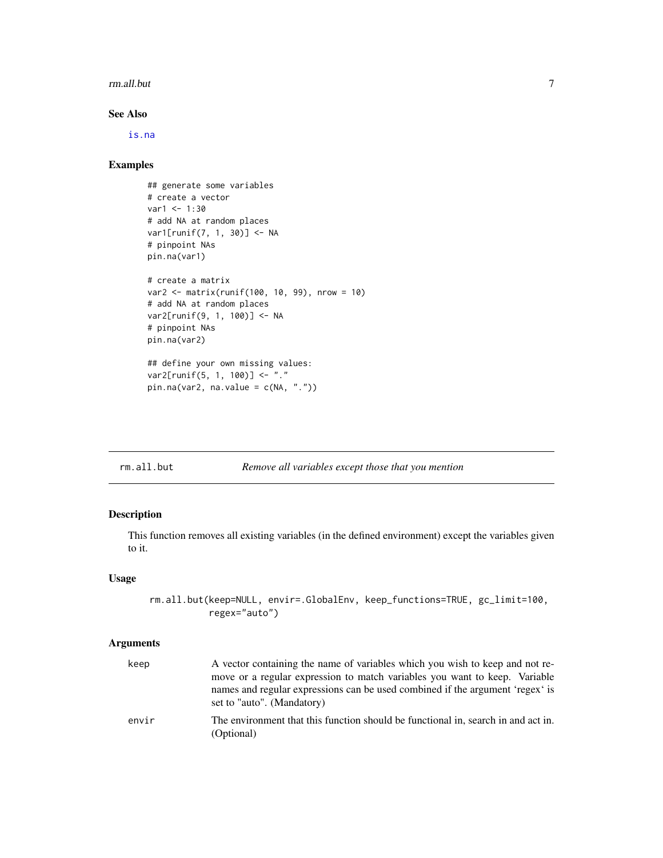#### <span id="page-6-0"></span>rm.all.but 7

# See Also

[is.na](#page-0-0)

# Examples

```
## generate some variables
# create a vector
var1 < -1:30# add NA at random places
var1[runif(7, 1, 30)] <- NA
# pinpoint NAs
pin.na(var1)
# create a matrix
var2 <- matrix(runif(100, 10, 99), nrow = 10)
# add NA at random places
var2[runif(9, 1, 100)] <- NA
# pinpoint NAs
pin.na(var2)
## define your own missing values:
var2[runif(5, 1, 100)] <- "."
pin.na(var2, na.value = c(NA, "."))
```
# rm.all.but *Remove all variables except those that you mention*

# Description

This function removes all existing variables (in the defined environment) except the variables given to it.

# Usage

```
rm.all.but(keep=NULL, envir=.GlobalEnv, keep_functions=TRUE, gc_limit=100,
           regex="auto")
```
# Arguments

| keep  | A vector containing the name of variables which you wish to keep and not re-<br>move or a regular expression to match variables you want to keep. Variable<br>names and regular expressions can be used combined if the argument 'regex' is<br>set to "auto". (Mandatory) |
|-------|---------------------------------------------------------------------------------------------------------------------------------------------------------------------------------------------------------------------------------------------------------------------------|
| envir | The environment that this function should be functional in, search in and act in.<br>(Optional)                                                                                                                                                                           |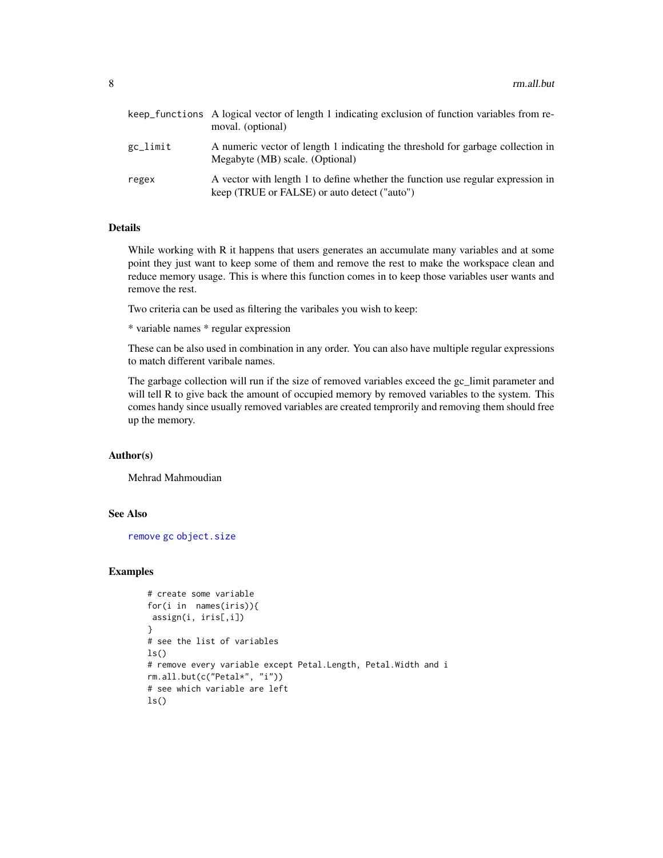<span id="page-7-0"></span>

|          | keep_functions A logical vector of length 1 indicating exclusion of function variables from re-<br>moval. (optional)            |
|----------|---------------------------------------------------------------------------------------------------------------------------------|
| gc_limit | A numeric vector of length 1 indicating the threshold for garbage collection in<br>Megabyte (MB) scale. (Optional)              |
| regex    | A vector with length 1 to define whether the function use regular expression in<br>keep (TRUE or FALSE) or auto detect ("auto") |

# Details

While working with R it happens that users generates an accumulate many variables and at some point they just want to keep some of them and remove the rest to make the workspace clean and reduce memory usage. This is where this function comes in to keep those variables user wants and remove the rest.

Two criteria can be used as filtering the varibales you wish to keep:

\* variable names \* regular expression

These can be also used in combination in any order. You can also have multiple regular expressions to match different varibale names.

The garbage collection will run if the size of removed variables exceed the gc\_limit parameter and will tell R to give back the amount of occupied memory by removed variables to the system. This comes handy since usually removed variables are created temprorily and removing them should free up the memory.

# Author(s)

Mehrad Mahmoudian

# See Also

[remove](#page-0-0) [gc](#page-0-0) [object.size](#page-0-0)

# Examples

```
# create some variable
for(i in names(iris)){
assign(i, iris[,i])
}
# see the list of variables
ls()
# remove every variable except Petal.Length, Petal.Width and i
rm.all.but(c("Petal*", "i"))
# see which variable are left
ls()
```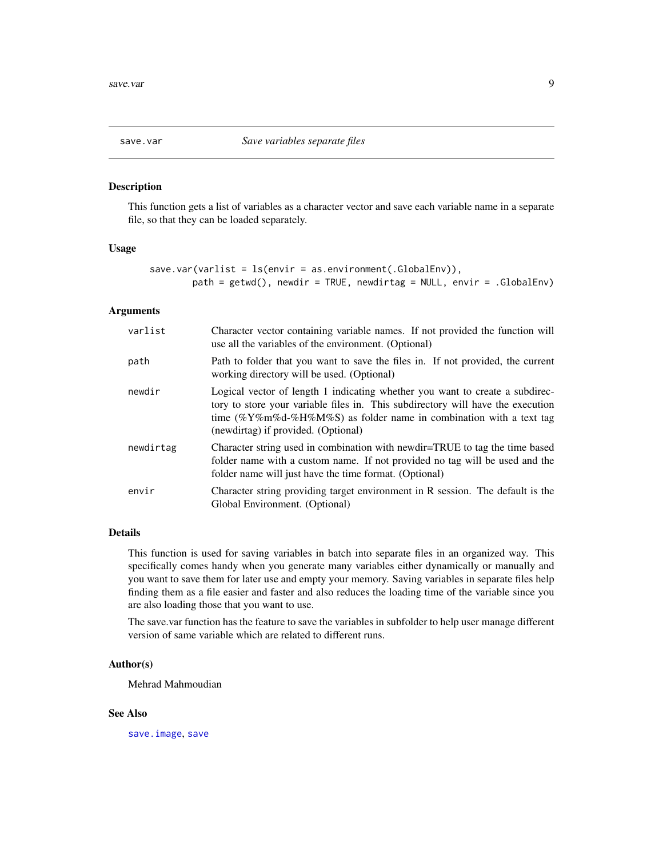<span id="page-8-0"></span>

#### Description

This function gets a list of variables as a character vector and save each variable name in a separate file, so that they can be loaded separately.

# Usage

```
save.var(varlist = ls(envir = as.environment(.GlobalEnv)),
        path = getwd(), newdir = TRUE, newdirtag = NULL, envir = .GlobalEnv)
```
#### Arguments

| varlist   | Character vector containing variable names. If not provided the function will<br>use all the variables of the environment. (Optional)                                                                                                                                        |
|-----------|------------------------------------------------------------------------------------------------------------------------------------------------------------------------------------------------------------------------------------------------------------------------------|
| path      | Path to folder that you want to save the files in. If not provided, the current<br>working directory will be used. (Optional)                                                                                                                                                |
| newdir    | Logical vector of length 1 indicating whether you want to create a subdirec-<br>tory to store your variable files in. This subdirectory will have the execution<br>time (%Y%m%d-%H%M%S) as folder name in combination with a text tag<br>(newdirtag) if provided. (Optional) |
| newdirtag | Character string used in combination with newdir=TRUE to tag the time based<br>folder name with a custom name. If not provided no tag will be used and the<br>folder name will just have the time format. (Optional)                                                         |
| envir     | Character string providing target environment in R session. The default is the<br>Global Environment. (Optional)                                                                                                                                                             |

# Details

This function is used for saving variables in batch into separate files in an organized way. This specifically comes handy when you generate many variables either dynamically or manually and you want to save them for later use and empty your memory. Saving variables in separate files help finding them as a file easier and faster and also reduces the loading time of the variable since you are also loading those that you want to use.

The save.var function has the feature to save the variables in subfolder to help user manage different version of same variable which are related to different runs.

# Author(s)

Mehrad Mahmoudian

# See Also

[save.image](#page-0-0), [save](#page-0-0)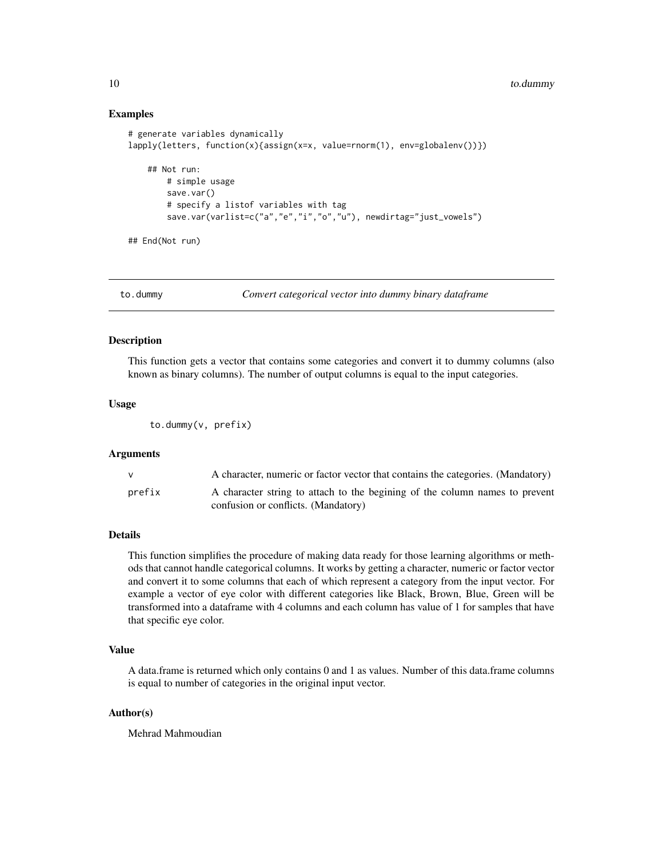# Examples

```
# generate variables dynamically
lapply(letters, function(x){assign(x=x, value=rnorm(1), env=globalenv())})
    ## Not run:
        # simple usage
        save.var()
        # specify a listof variables with tag
        save.var(varlist=c("a","e","i","o","u"), newdirtag="just_vowels")
## End(Not run)
```
to.dummy *Convert categorical vector into dummy binary dataframe*

## Description

This function gets a vector that contains some categories and convert it to dummy columns (also known as binary columns). The number of output columns is equal to the input categories.

# Usage

to.dummy(v, prefix)

#### Arguments

|        | A character, numeric or factor vector that contains the categories. (Mandatory) |
|--------|---------------------------------------------------------------------------------|
| prefix | A character string to attach to the begining of the column names to prevent     |
|        | confusion or conflicts. (Mandatory)                                             |

# Details

This function simplifies the procedure of making data ready for those learning algorithms or methods that cannot handle categorical columns. It works by getting a character, numeric or factor vector and convert it to some columns that each of which represent a category from the input vector. For example a vector of eye color with different categories like Black, Brown, Blue, Green will be transformed into a dataframe with 4 columns and each column has value of 1 for samples that have that specific eye color.

# Value

A data.frame is returned which only contains 0 and 1 as values. Number of this data.frame columns is equal to number of categories in the original input vector.

# Author(s)

Mehrad Mahmoudian

<span id="page-9-0"></span>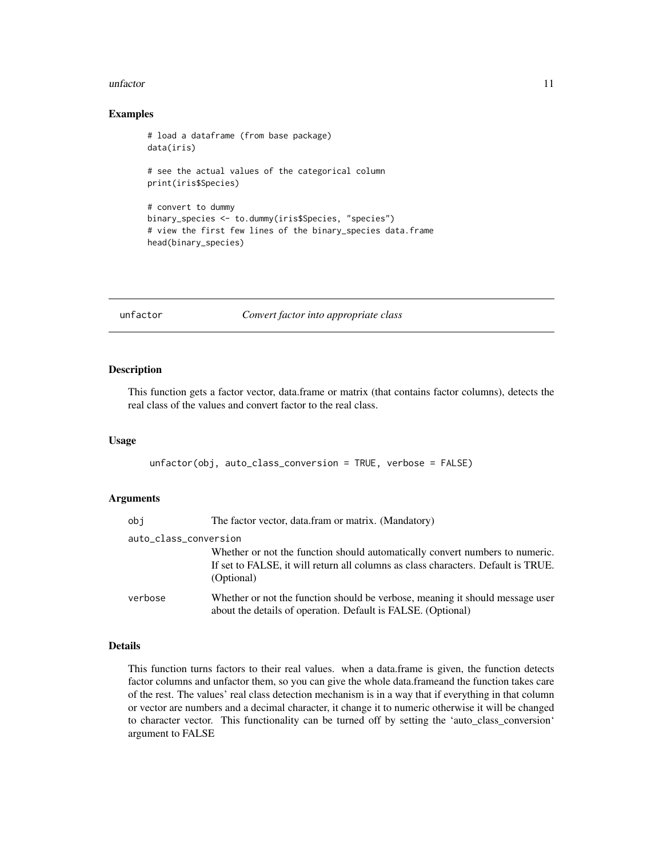#### <span id="page-10-0"></span>unfactor 11

#### Examples

```
# load a dataframe (from base package)
data(iris)
# see the actual values of the categorical column
print(iris$Species)
# convert to dummy
binary_species <- to.dummy(iris$Species, "species")
# view the first few lines of the binary_species data.frame
head(binary_species)
```
unfactor *Convert factor into appropriate class*

# Description

This function gets a factor vector, data.frame or matrix (that contains factor columns), detects the real class of the values and convert factor to the real class.

# Usage

unfactor(obj, auto\_class\_conversion = TRUE, verbose = FALSE)

# Arguments

| obj                   | The factor vector, data.fram or matrix. (Mandatory)                                                                                                                             |
|-----------------------|---------------------------------------------------------------------------------------------------------------------------------------------------------------------------------|
| auto_class_conversion |                                                                                                                                                                                 |
|                       | Whether or not the function should automatically convert numbers to numeric.<br>If set to FALSE, it will return all columns as class characters. Default is TRUE.<br>(Optional) |
| verbose               | Whether or not the function should be verbose, meaning it should message user<br>about the details of operation. Default is FALSE. (Optional)                                   |

# Details

This function turns factors to their real values. when a data.frame is given, the function detects factor columns and unfactor them, so you can give the whole data.frameand the function takes care of the rest. The values' real class detection mechanism is in a way that if everything in that column or vector are numbers and a decimal character, it change it to numeric otherwise it will be changed to character vector. This functionality can be turned off by setting the 'auto\_class\_conversion' argument to FALSE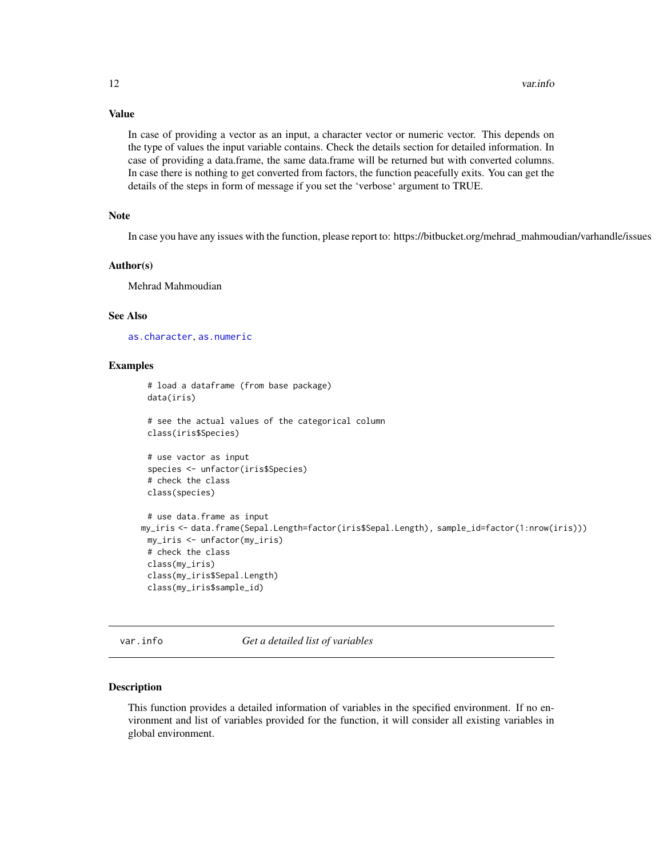# Value

In case of providing a vector as an input, a character vector or numeric vector. This depends on the type of values the input variable contains. Check the details section for detailed information. In case of providing a data.frame, the same data.frame will be returned but with converted columns. In case there is nothing to get converted from factors, the function peacefully exits. You can get the details of the steps in form of message if you set the 'verbose' argument to TRUE.

# Note

In case you have any issues with the function, please report to: https://bitbucket.org/mehrad\_mahmoudian/varhandle/issues

#### Author(s)

Mehrad Mahmoudian

# See Also

[as.character](#page-0-0), [as.numeric](#page-0-0)

# Examples

```
# load a dataframe (from base package)
 data(iris)
 # see the actual values of the categorical column
 class(iris$Species)
 # use vactor as input
 species <- unfactor(iris$Species)
 # check the class
 class(species)
 # use data.frame as input
my_iris <- data.frame(Sepal.Length=factor(iris$Sepal.Length), sample_id=factor(1:nrow(iris)))
 my_iris <- unfactor(my_iris)
 # check the class
 class(my_iris)
 class(my_iris$Sepal.Length)
 class(my_iris$sample_id)
```
var.info *Get a detailed list of variables*

#### Description

This function provides a detailed information of variables in the specified environment. If no environment and list of variables provided for the function, it will consider all existing variables in global environment.

<span id="page-11-0"></span>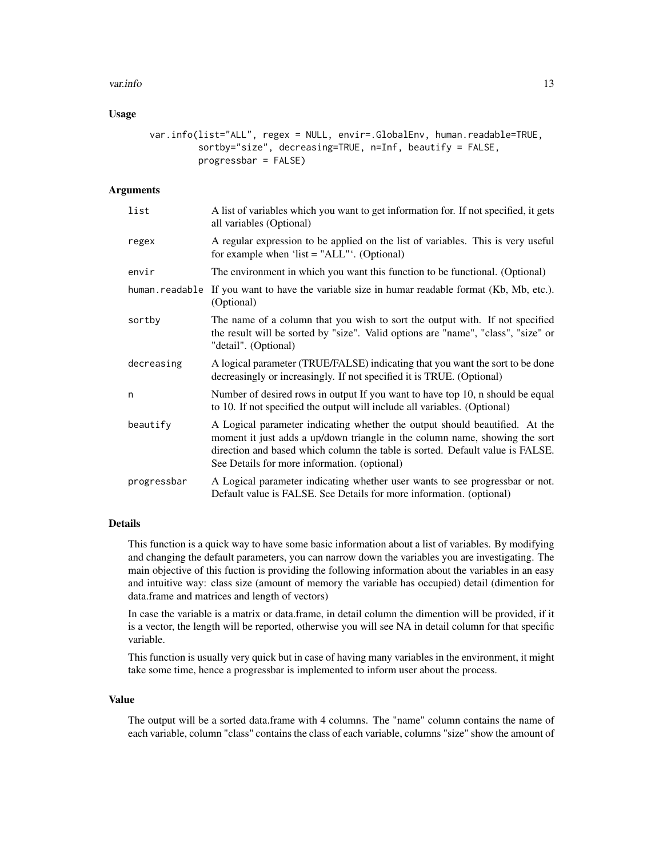#### var.info 13

# Usage

```
var.info(list="ALL", regex = NULL, envir=.GlobalEnv, human.readable=TRUE,
         sortby="size", decreasing=TRUE, n=Inf, beautify = FALSE,
         progressbar = FALSE)
```
# Arguments

| list           | A list of variables which you want to get information for. If not specified, it gets<br>all variables (Optional)                                                                                                                                                                            |
|----------------|---------------------------------------------------------------------------------------------------------------------------------------------------------------------------------------------------------------------------------------------------------------------------------------------|
| regex          | A regular expression to be applied on the list of variables. This is very useful<br>for example when 'list = " $ALL$ "'. (Optional)                                                                                                                                                         |
| envir          | The environment in which you want this function to be functional. (Optional)                                                                                                                                                                                                                |
| human.readable | If you want to have the variable size in humar readable format (Kb, Mb, etc.).<br>(Optional)                                                                                                                                                                                                |
| sortby         | The name of a column that you wish to sort the output with. If not specified<br>the result will be sorted by "size". Valid options are "name", "class", "size" or<br>"detail". (Optional)                                                                                                   |
| decreasing     | A logical parameter (TRUE/FALSE) indicating that you want the sort to be done<br>decreasingly or increasingly. If not specified it is TRUE. (Optional)                                                                                                                                      |
| n              | Number of desired rows in output If you want to have top 10, n should be equal<br>to 10. If not specified the output will include all variables. (Optional)                                                                                                                                 |
| beautify       | A Logical parameter indicating whether the output should beautified. At the<br>moment it just adds a up/down triangle in the column name, showing the sort<br>direction and based which column the table is sorted. Default value is FALSE.<br>See Details for more information. (optional) |
| progressbar    | A Logical parameter indicating whether user wants to see progressbar or not.<br>Default value is FALSE. See Details for more information. (optional)                                                                                                                                        |

# Details

This function is a quick way to have some basic information about a list of variables. By modifying and changing the default parameters, you can narrow down the variables you are investigating. The main objective of this fuction is providing the following information about the variables in an easy and intuitive way: class size (amount of memory the variable has occupied) detail (dimention for data.frame and matrices and length of vectors)

In case the variable is a matrix or data.frame, in detail column the dimention will be provided, if it is a vector, the length will be reported, otherwise you will see NA in detail column for that specific variable.

This function is usually very quick but in case of having many variables in the environment, it might take some time, hence a progressbar is implemented to inform user about the process.

#### Value

The output will be a sorted data.frame with 4 columns. The "name" column contains the name of each variable, column "class" contains the class of each variable, columns "size" show the amount of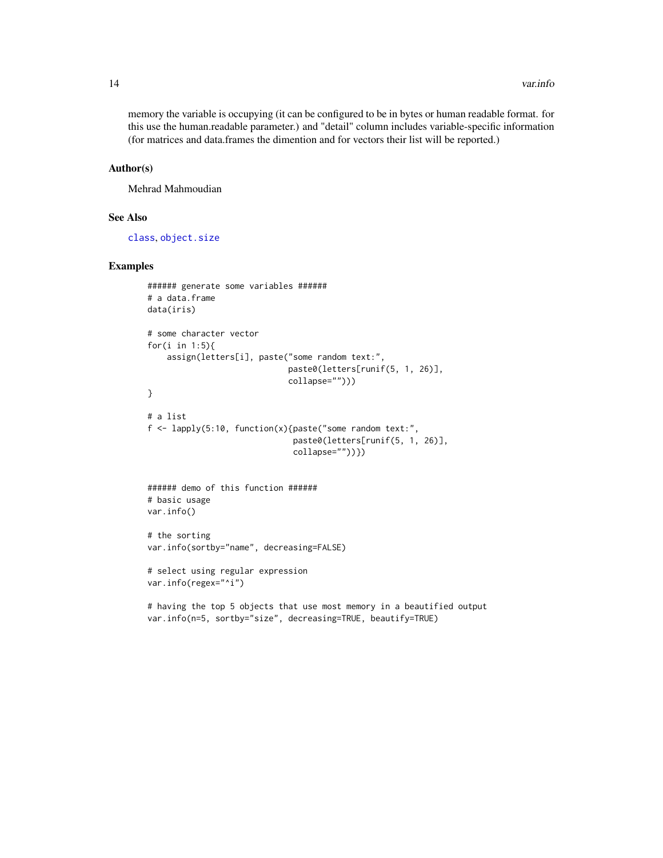<span id="page-13-0"></span>memory the variable is occupying (it can be configured to be in bytes or human readable format. for this use the human.readable parameter.) and "detail" column includes variable-specific information (for matrices and data.frames the dimention and for vectors their list will be reported.)

#### Author(s)

Mehrad Mahmoudian

#### See Also

[class](#page-0-0), [object.size](#page-0-0)

# Examples

```
###### generate some variables ######
# a data.frame
data(iris)
# some character vector
for(i in 1:5){
    assign(letters[i], paste("some random text:",
                             paste0(letters[runif(5, 1, 26)],
                             collapse="")))
}
# a list
f <- lapply(5:10, function(x){paste("some random text:",
                              paste0(letters[runif(5, 1, 26)],
                              collapse=""))})
###### demo of this function ######
# basic usage
var.info()
# the sorting
var.info(sortby="name", decreasing=FALSE)
# select using regular expression
var.info(regex="^i")
```

```
# having the top 5 objects that use most memory in a beautified output
var.info(n=5, sortby="size", decreasing=TRUE, beautify=TRUE)
```